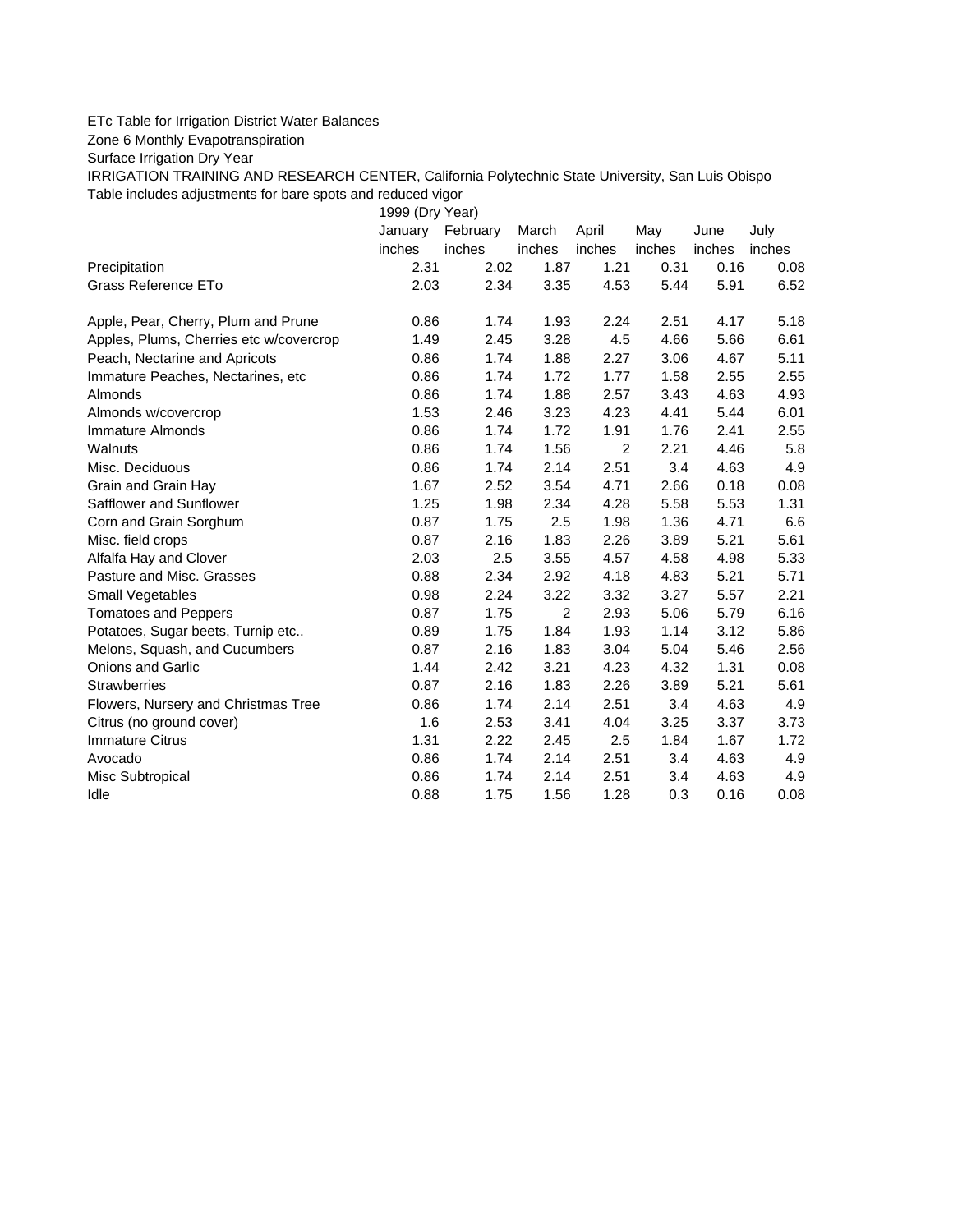## ETc Table for Irrigation District Water Balances

Zone 6 Monthly Evapotranspiration

Surface Irrigation Dry Year

IRRIGATION TRAINING AND RESEARCH CENTER, California Polytechnic State University, San Luis Obispo Table includes adjustments for bare spots and reduced vigor

1999 (Dry Year)

|                                         | January | February | March  | April          | May    | June   | July   |
|-----------------------------------------|---------|----------|--------|----------------|--------|--------|--------|
|                                         | inches  | inches   | inches | inches         | inches | inches | inches |
| Precipitation                           | 2.31    | 2.02     | 1.87   | 1.21           | 0.31   | 0.16   | 0.08   |
| Grass Reference ETo                     | 2.03    | 2.34     | 3.35   | 4.53           | 5.44   | 5.91   | 6.52   |
| Apple, Pear, Cherry, Plum and Prune     | 0.86    | 1.74     | 1.93   | 2.24           | 2.51   | 4.17   | 5.18   |
| Apples, Plums, Cherries etc w/covercrop | 1.49    | 2.45     | 3.28   | 4.5            | 4.66   | 5.66   | 6.61   |
| Peach, Nectarine and Apricots           | 0.86    | 1.74     | 1.88   | 2.27           | 3.06   | 4.67   | 5.11   |
| Immature Peaches, Nectarines, etc       | 0.86    | 1.74     | 1.72   | 1.77           | 1.58   | 2.55   | 2.55   |
| Almonds                                 | 0.86    | 1.74     | 1.88   | 2.57           | 3.43   | 4.63   | 4.93   |
| Almonds w/covercrop                     | 1.53    | 2.46     | 3.23   | 4.23           | 4.41   | 5.44   | 6.01   |
| Immature Almonds                        | 0.86    | 1.74     | 1.72   | 1.91           | 1.76   | 2.41   | 2.55   |
| Walnuts                                 | 0.86    | 1.74     | 1.56   | $\overline{2}$ | 2.21   | 4.46   | 5.8    |
| Misc. Deciduous                         | 0.86    | 1.74     | 2.14   | 2.51           | 3.4    | 4.63   | 4.9    |
| Grain and Grain Hay                     | 1.67    | 2.52     | 3.54   | 4.71           | 2.66   | 0.18   | 0.08   |
| Safflower and Sunflower                 | 1.25    | 1.98     | 2.34   | 4.28           | 5.58   | 5.53   | 1.31   |
| Corn and Grain Sorghum                  | 0.87    | 1.75     | 2.5    | 1.98           | 1.36   | 4.71   | 6.6    |
| Misc. field crops                       | 0.87    | 2.16     | 1.83   | 2.26           | 3.89   | 5.21   | 5.61   |
| Alfalfa Hay and Clover                  | 2.03    | 2.5      | 3.55   | 4.57           | 4.58   | 4.98   | 5.33   |
| Pasture and Misc. Grasses               | 0.88    | 2.34     | 2.92   | 4.18           | 4.83   | 5.21   | 5.71   |
| Small Vegetables                        | 0.98    | 2.24     | 3.22   | 3.32           | 3.27   | 5.57   | 2.21   |
| <b>Tomatoes and Peppers</b>             | 0.87    | 1.75     | 2      | 2.93           | 5.06   | 5.79   | 6.16   |
| Potatoes, Sugar beets, Turnip etc       | 0.89    | 1.75     | 1.84   | 1.93           | 1.14   | 3.12   | 5.86   |
| Melons, Squash, and Cucumbers           | 0.87    | 2.16     | 1.83   | 3.04           | 5.04   | 5.46   | 2.56   |
| <b>Onions and Garlic</b>                | 1.44    | 2.42     | 3.21   | 4.23           | 4.32   | 1.31   | 0.08   |
| <b>Strawberries</b>                     | 0.87    | 2.16     | 1.83   | 2.26           | 3.89   | 5.21   | 5.61   |
| Flowers, Nursery and Christmas Tree     | 0.86    | 1.74     | 2.14   | 2.51           | 3.4    | 4.63   | 4.9    |
| Citrus (no ground cover)                | 1.6     | 2.53     | 3.41   | 4.04           | 3.25   | 3.37   | 3.73   |
| <b>Immature Citrus</b>                  | 1.31    | 2.22     | 2.45   | 2.5            | 1.84   | 1.67   | 1.72   |
| Avocado                                 | 0.86    | 1.74     | 2.14   | 2.51           | 3.4    | 4.63   | 4.9    |
| Misc Subtropical                        | 0.86    | 1.74     | 2.14   | 2.51           | 3.4    | 4.63   | 4.9    |
| Idle                                    | 0.88    | 1.75     | 1.56   | 1.28           | 0.3    | 0.16   | 0.08   |